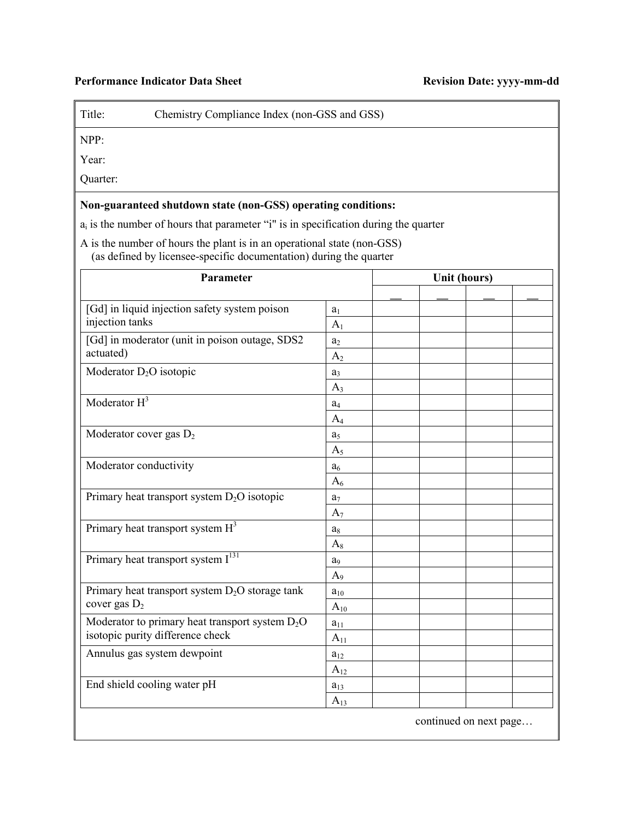## **Performance Indicator Data Sheet Revision Date: yyyy-mm-dd**

Title: Chemistry Compliance Index (non-GSS and GSS)

NPP:

Year:

Quarter:

## **Non-guaranteed shutdown state (non-GSS) operating conditions:**

 $a_i$  is the number of hours that parameter "i" is in specification during the quarter

 A is the number of hours the plant is in an operational state (non-GSS) (as defined by licensee-specific documentation) during the quarter

| Parameter                                                                             |                | Unit (hours) |  |  |  |
|---------------------------------------------------------------------------------------|----------------|--------------|--|--|--|
|                                                                                       |                |              |  |  |  |
| [Gd] in liquid injection safety system poison                                         | a <sub>1</sub> |              |  |  |  |
| injection tanks                                                                       | A <sub>1</sub> |              |  |  |  |
| [Gd] in moderator (unit in poison outage, SDS2                                        | a <sub>2</sub> |              |  |  |  |
| actuated)                                                                             | A <sub>2</sub> |              |  |  |  |
| Moderator $D_2O$ isotopic                                                             | $a_3$          |              |  |  |  |
|                                                                                       | $A_3$          |              |  |  |  |
| Moderator $H^3$                                                                       | a <sub>4</sub> |              |  |  |  |
|                                                                                       | $A_4$          |              |  |  |  |
| Moderator cover gas $D_2$                                                             | a <sub>5</sub> |              |  |  |  |
|                                                                                       | A <sub>5</sub> |              |  |  |  |
| Moderator conductivity                                                                | a <sub>6</sub> |              |  |  |  |
|                                                                                       | $A_6$          |              |  |  |  |
| Primary heat transport system $D_2O$ isotopic                                         | a <sub>7</sub> |              |  |  |  |
|                                                                                       | $A_7$          |              |  |  |  |
| Primary heat transport system $H^3$                                                   | $a_8$          |              |  |  |  |
|                                                                                       | $A_8$          |              |  |  |  |
| Primary heat transport system $I^{131}$                                               | a <sub>9</sub> |              |  |  |  |
|                                                                                       | A <sub>9</sub> |              |  |  |  |
| Primary heat transport system $D_2O$ storage tank<br>cover gas $D_2$                  | $a_{10}$       |              |  |  |  |
|                                                                                       | $A_{10}$       |              |  |  |  |
| Moderator to primary heat transport system $D_2O$<br>isotopic purity difference check | $a_{11}$       |              |  |  |  |
|                                                                                       | $A_{11}$       |              |  |  |  |
| Annulus gas system dewpoint                                                           | $a_{12}$       |              |  |  |  |
|                                                                                       | $A_{12}$       |              |  |  |  |
| End shield cooling water pH                                                           | $a_{13}$       |              |  |  |  |
|                                                                                       | $A_{13}$       |              |  |  |  |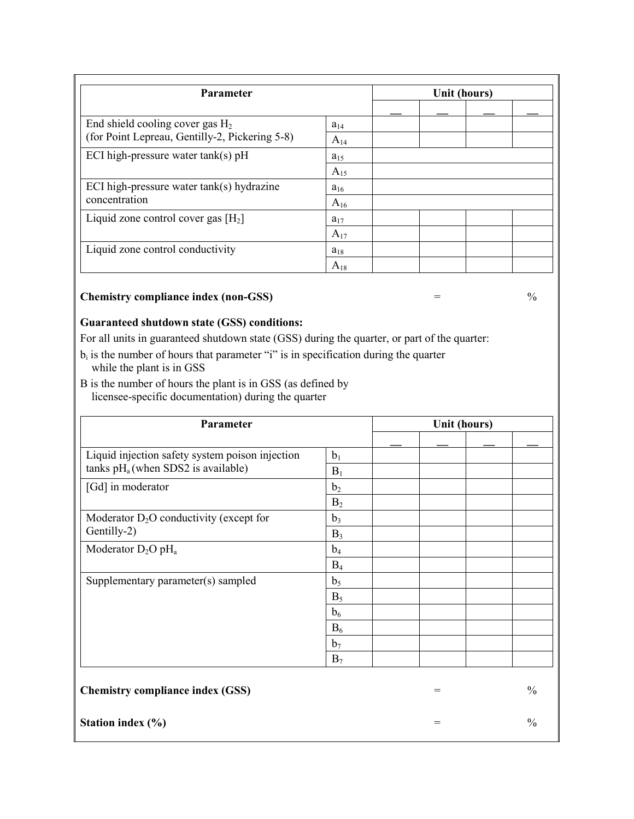| <b>Parameter</b>                                                                     |          | Unit (hours) |  |  |  |
|--------------------------------------------------------------------------------------|----------|--------------|--|--|--|
|                                                                                      |          |              |  |  |  |
| End shield cooling cover gas $H_2$<br>(for Point Lepreau, Gentilly-2, Pickering 5-8) | $a_{14}$ |              |  |  |  |
|                                                                                      | $A_{14}$ |              |  |  |  |
| ECI high-pressure water $tank(s)$ pH                                                 | $a_{15}$ |              |  |  |  |
|                                                                                      | $A_{15}$ |              |  |  |  |
| ECI high-pressure water $tank(s)$ hydrazine<br>concentration                         | $a_{16}$ |              |  |  |  |
|                                                                                      | $A_{16}$ |              |  |  |  |
| Liquid zone control cover gas $[H_2]$                                                | $a_{17}$ |              |  |  |  |
|                                                                                      | $A_{17}$ |              |  |  |  |
| Liquid zone control conductivity                                                     | $a_{18}$ |              |  |  |  |
|                                                                                      | $A_{18}$ |              |  |  |  |

## **Chemistry compliance index (non-GSS)**  $=$  %

## **Guaranteed shutdown state (GSS) conditions:**

For all units in guaranteed shutdown state (GSS) during the quarter, or part of the quarter:

- $b_i$  is the number of hours that parameter "i" is in specification during the quarter while the plant is in GSS
- B is the number of hours the plant is in GSS (as defined by licensee-specific documentation) during the quarter

| Parameter                                       |                | Unit (hours) |     |  |               |
|-------------------------------------------------|----------------|--------------|-----|--|---------------|
|                                                 |                |              |     |  |               |
| Liquid injection safety system poison injection | b <sub>1</sub> |              |     |  |               |
| tanks $pH_a$ (when SDS2 is available)           | $B_1$          |              |     |  |               |
| [Gd] in moderator                               | b <sub>2</sub> |              |     |  |               |
|                                                 | B <sub>2</sub> |              |     |  |               |
| Moderator $D_2O$ conductivity (except for       | $b_3$          |              |     |  |               |
| Gentilly-2)                                     | $B_3$          |              |     |  |               |
| Moderator $D_2O$ pH <sub>a</sub>                | $b_4$          |              |     |  |               |
|                                                 | $B_4$          |              |     |  |               |
| Supplementary parameter(s) sampled              | b <sub>5</sub> |              |     |  |               |
|                                                 | $B_5$          |              |     |  |               |
|                                                 | b <sub>6</sub> |              |     |  |               |
|                                                 | $B_6$          |              |     |  |               |
|                                                 | b <sub>7</sub> |              |     |  |               |
|                                                 | $B_7$          |              |     |  |               |
|                                                 |                |              |     |  |               |
| <b>Chemistry compliance index (GSS)</b>         |                |              | $=$ |  | $\frac{0}{0}$ |
| Station index $(\% )$                           |                |              | $=$ |  | $\frac{0}{0}$ |